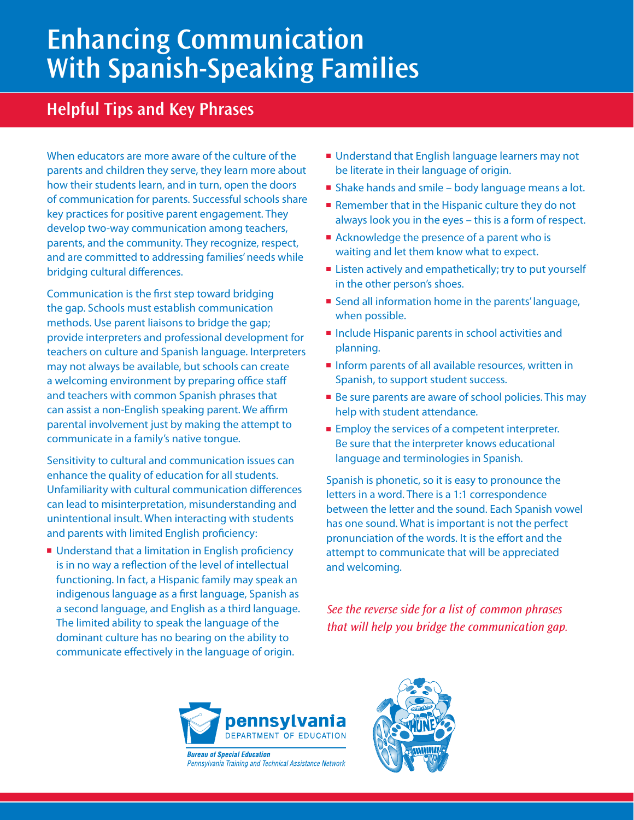## **Enhancing Communication With Spanish-Speaking Families**

## **Helpful Tips and Key Phrases**

When educators are more aware of the culture of the parents and children they serve, they learn more about how their students learn, and in turn, open the doors of communication for parents. Successful schools share key practices for positive parent engagement. They develop two-way communication among teachers, parents, and the community. They recognize, respect, and are committed to addressing families' needs while bridging cultural differences.

Communication is the first step toward bridging the gap. Schools must establish communication methods. Use parent liaisons to bridge the gap; provide interpreters and professional development for teachers on culture and Spanish language. Interpreters may not always be available, but schools can create a welcoming environment by preparing office staff and teachers with common Spanish phrases that can assist a non-English speaking parent. We affirm parental involvement just by making the attempt to communicate in a family's native tongue.

Sensitivity to cultural and communication issues can enhance the quality of education for all students. Unfamiliarity with cultural communication differences can lead to misinterpretation, misunderstanding and unintentional insult. When interacting with students and parents with limited English proficiency:

■ Understand that a limitation in English proficiency is in no way a reflection of the level of intellectual functioning. In fact, a Hispanic family may speak an indigenous language as a first language, Spanish as a second language, and English as a third language. The limited ability to speak the language of the dominant culture has no bearing on the ability to communicate effectively in the language of origin.

- Understand that English language learners may not be literate in their language of origin.
- Shake hands and smile body language means a lot.
- Remember that in the Hispanic culture they do not always look you in the eyes – this is a form of respect.
- Acknowledge the presence of a parent who is waiting and let them know what to expect.
- Listen actively and empathetically; try to put yourself in the other person's shoes.
- Send all information home in the parents' language, when possible.
- Include Hispanic parents in school activities and planning.
- Inform parents of all available resources, written in Spanish, to support student success.
- Be sure parents are aware of school policies. This may help with student attendance.
- Employ the services of a competent interpreter. Be sure that the interpreter knows educational language and terminologies in Spanish.

Spanish is phonetic, so it is easy to pronounce the letters in a word. There is a 1:1 correspondence between the letter and the sound. Each Spanish vowel has one sound. What is important is not the perfect pronunciation of the words. It is the effort and the attempt to communicate that will be appreciated and welcoming.

*See the reverse side for a list of common phrases that will help you bridge the communication gap.*



**Bureau of Special Education** Pennsylvania Training and Technical Assistance Network